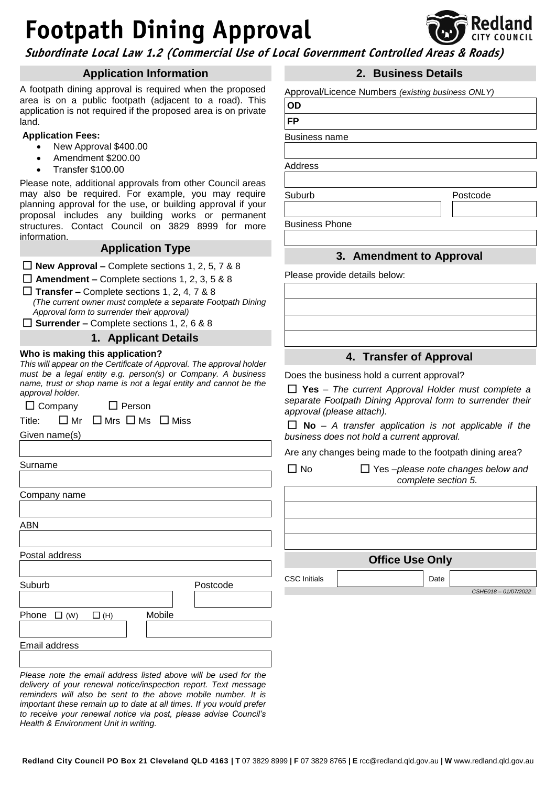# **Footpath Dining Approval**



**Subordinate Local Law 1.2 (Commercial Use of Local Government Controlled Areas & Roads)**

## **Application Information**

A footpath dining approval is required when the proposed area is on a public footpath (adjacent to a road). This application is not required if the proposed area is on private land.

#### **Application Fees:**

- New Approval \$400.00
- Amendment \$200.00
- Transfer \$100.00

Please note, additional approvals from other Council areas may also be required. For example, you may require planning approval for the use, or building approval if your proposal includes any building works or permanent structures. Contact Council on 3829 8999 for more information.

## **Application Type**

**New Approval –** Complete sections 1, 2, 5, 7 & 8

**Amendment –** Complete sections 1, 2, 3, 5 & 8

**Transfer –** Complete sections 1, 2, 4, 7 & 8

*(The current owner must complete a separate Footpath Dining Approval form to surrender their approval)*

**Surrender –** Complete sections 1, 2, 6 & 8

#### **1. Applicant Details**

#### **Who is making this application?**

*This will appear on the Certificate of Approval. The approval holder must be a legal entity e.g. person(s) or Company. A business name, trust or shop name is not a legal entity and cannot be the approval holder.*

 $\Box$  Company  $\Box$  Person

Title:  $\Box$  Mr  $\Box$  Mrs  $\Box$  Ms  $\Box$  Miss

Given name(s)

Surname

Company name

ABN

Postal address

Suburb Postcode

Phone  $\Box$  (W)  $\Box$  (H) Mobile

Email address

*Please note the email address listed above will be used for the delivery of your renewal notice/inspection report. Text message reminders will also be sent to the above mobile number. It is important these remain up to date at all times. If you would prefer to receive your renewal notice via post, please advise Council's Health & Environment Unit in writing.*

# **2. Business Details**

Approval/Licence Numbers *(existing business ONLY)*

**OD FP**

Business name

Address

Suburb Postcode

Business Phone

# **3. Amendment to Approval**

Please provide details below:

**4. Transfer of Approval**

Does the business hold a current approval?

 **Yes** – *The current Approval Holder must complete a separate Footpath Dining Approval form to surrender their approval (please attach).*

 **No** – *A transfer application is not applicable if the business does not hold a current approval.*

Are any changes being made to the footpath dining area?

| N٥                     | $\Box$ Yes -please note changes below and<br>complete section 5. |  |  |  |  |  |  |  |
|------------------------|------------------------------------------------------------------|--|--|--|--|--|--|--|
|                        |                                                                  |  |  |  |  |  |  |  |
|                        |                                                                  |  |  |  |  |  |  |  |
|                        |                                                                  |  |  |  |  |  |  |  |
|                        |                                                                  |  |  |  |  |  |  |  |
| <b>Office Use Only</b> |                                                                  |  |  |  |  |  |  |  |
| <b>CSC</b> Initials    | Date                                                             |  |  |  |  |  |  |  |
|                        | CSHE018-01/07/2022                                               |  |  |  |  |  |  |  |
|                        |                                                                  |  |  |  |  |  |  |  |

**Redland City Council PO Box 21 Cleveland QLD 4163 | T** 07 3829 8999 **| F** 07 3829 8765 **| E** rcc@redland.qld.gov.au **| W** www.redland.qld.gov.au

I